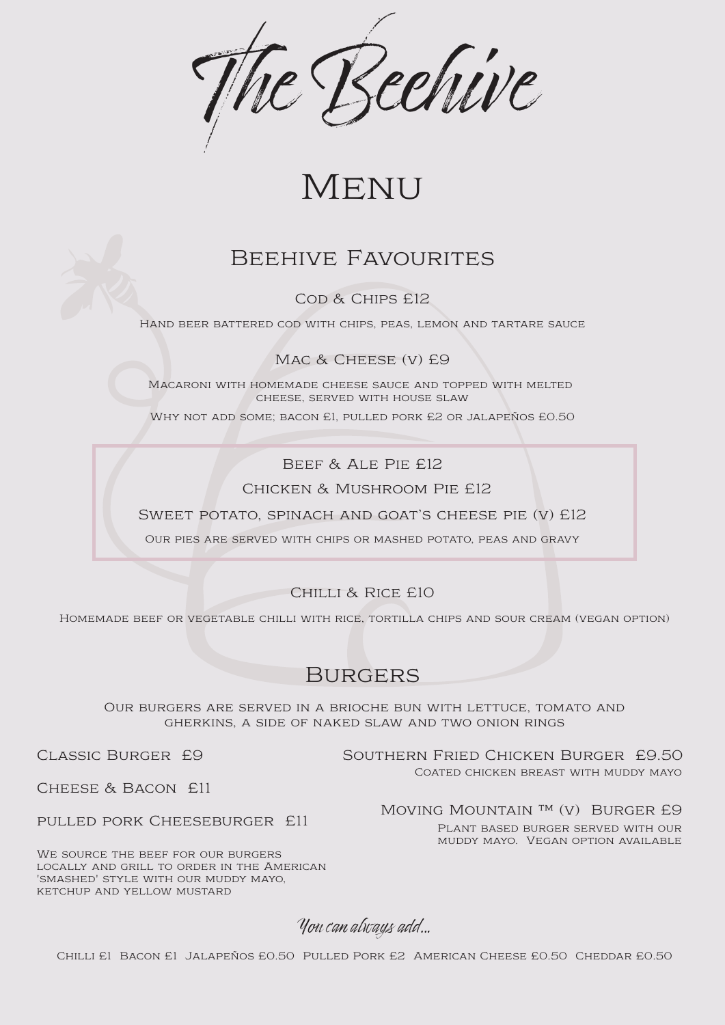

# Menu

# BEEHIVE FAVOURITES

COD & CHIPS £12

Our burgers are served in a brioche bun with lettuce, tomato and gherkins, a side of naked slaw and two onion rings

Classic Burger £9

## Cheese & Bacon £11

### pulled pork Cheeseburger £11

We source the beef for our burgers locally and grill to order in the American 'smashed' style with our muddy mayo, ketchup and yellow mustard

### MOVING MOUNTAIN<sup>™</sup> (V) BURGER £9

Southern Fried Chicken Burger £9.50 Coated chicken breast with muddy mayo

Plant based burger served with our muddy mayo. Vegan option available

You can always add...

Hand beer battered cod with chips, peas, lemon and tartare sauce

MAC & CHEESE (V) £9

Macaroni with homemade cheese sauce and topped with melted cheese, served with house slaw

Why not add some; bacon £1, pulled pork £2 or jalapeños £0.50

Beef & Ale Pie £12

Chicken & Mushroom Pie £12

SWEET POTATO, SPINACH AND GOAT'S CHEESE PIE (V) £12

Our pies are served with chips or mashed potato, peas and gravy

Chilli & Rice £10

Homemade beef or vegetable chilli with rice, tortilla chips and sour cream (vegan option)

# **BURGERS**

Chilli £1 Bacon £1 Jalapeños £0.50 Pulled Pork £2 American Cheese £0.50 Cheddar £0.50